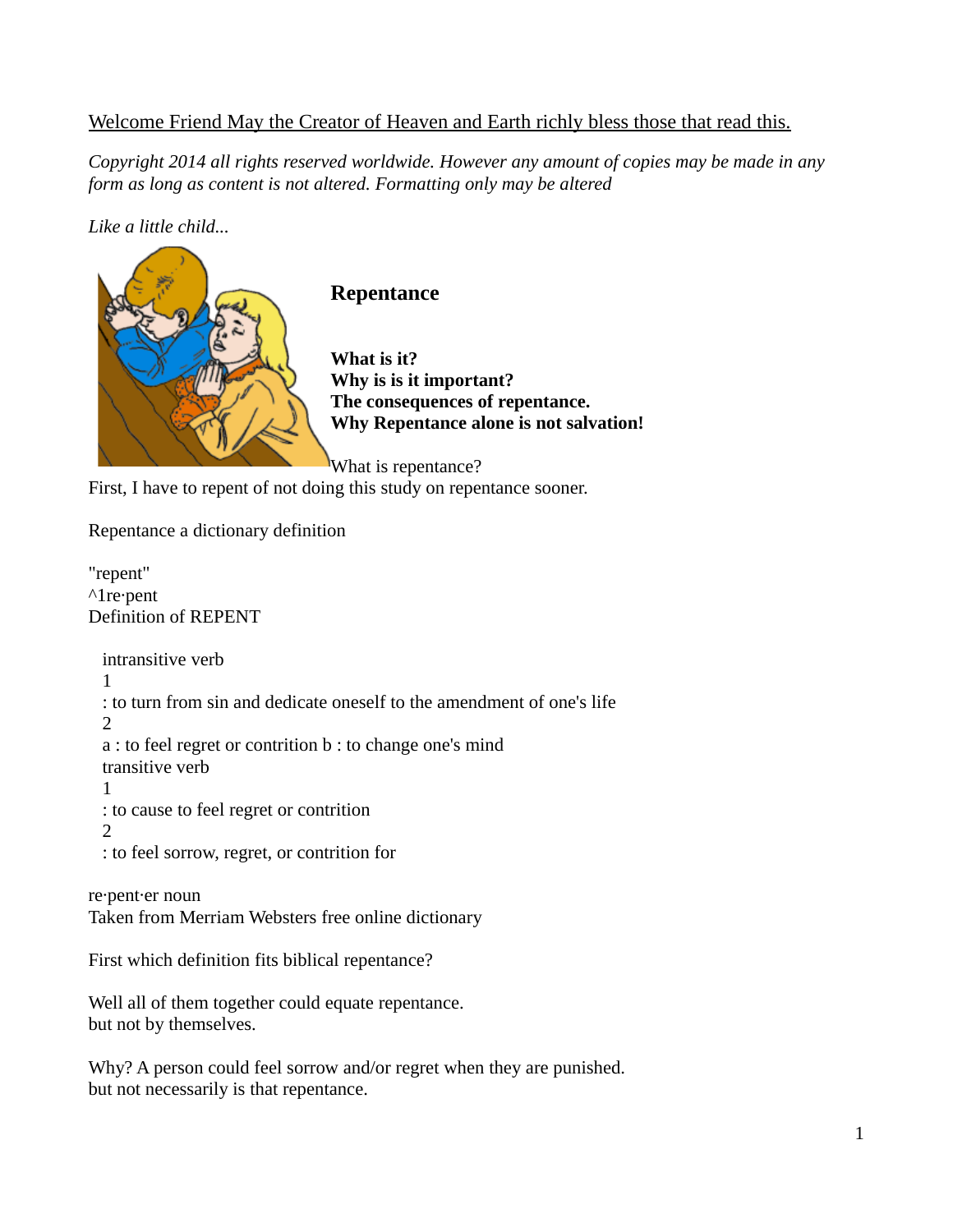## Welcome Friend May the Creator of Heaven and Earth richly bless those that read this.

*Copyright 2014 all rights reserved worldwide. However any amount of copies may be made in any form as long as content is not altered. Formatting only may be altered*

## *Like a little child...*



First, I have to repent of not doing this study on repentance sooner.

Repentance a dictionary definition

"repent" ^1re·pent Definition of REPENT

 intransitive verb 1 : to turn from sin and dedicate oneself to the amendment of one's life 2 a : to feel regret or contrition b : to change one's mind transitive verb 1 : to cause to feel regret or contrition 2 : to feel sorrow, regret, or contrition for

re·pent·er noun Taken from Merriam Websters free online dictionary

First which definition fits biblical repentance?

Well all of them together could equate repentance. but not by themselves.

Why? A person could feel sorrow and/or regret when they are punished. but not necessarily is that repentance.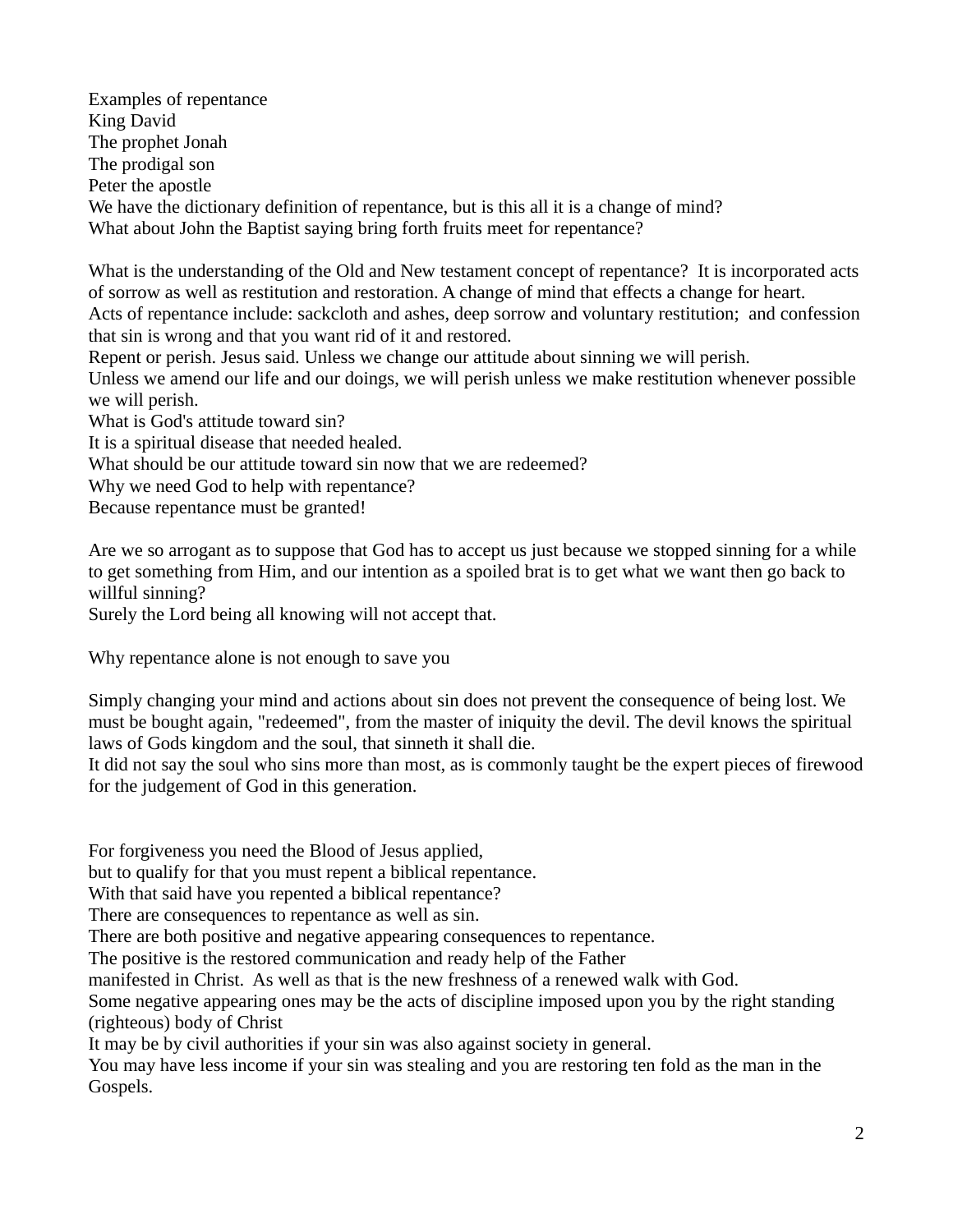Examples of repentance King David The prophet Jonah The prodigal son Peter the apostle We have the dictionary definition of repentance, but is this all it is a change of mind? What about John the Baptist saying bring forth fruits meet for repentance?

What is the understanding of the Old and New testament concept of repentance? It is incorporated acts of sorrow as well as restitution and restoration. A change of mind that effects a change for heart.

Acts of repentance include: sackcloth and ashes, deep sorrow and voluntary restitution; and confession that sin is wrong and that you want rid of it and restored.

Repent or perish. Jesus said. Unless we change our attitude about sinning we will perish.

Unless we amend our life and our doings, we will perish unless we make restitution whenever possible we will perish.

What is God's attitude toward sin?

It is a spiritual disease that needed healed.

What should be our attitude toward sin now that we are redeemed?

Why we need God to help with repentance?

Because repentance must be granted!

Are we so arrogant as to suppose that God has to accept us just because we stopped sinning for a while to get something from Him, and our intention as a spoiled brat is to get what we want then go back to willful sinning?

Surely the Lord being all knowing will not accept that.

Why repentance alone is not enough to save you

Simply changing your mind and actions about sin does not prevent the consequence of being lost. We must be bought again, "redeemed", from the master of iniquity the devil. The devil knows the spiritual laws of Gods kingdom and the soul, that sinneth it shall die.

It did not say the soul who sins more than most, as is commonly taught be the expert pieces of firewood for the judgement of God in this generation.

For forgiveness you need the Blood of Jesus applied,

but to qualify for that you must repent a biblical repentance.

With that said have you repented a biblical repentance?

There are consequences to repentance as well as sin.

There are both positive and negative appearing consequences to repentance.

The positive is the restored communication and ready help of the Father

manifested in Christ. As well as that is the new freshness of a renewed walk with God.

Some negative appearing ones may be the acts of discipline imposed upon you by the right standing (righteous) body of Christ

It may be by civil authorities if your sin was also against society in general.

You may have less income if your sin was stealing and you are restoring ten fold as the man in the Gospels.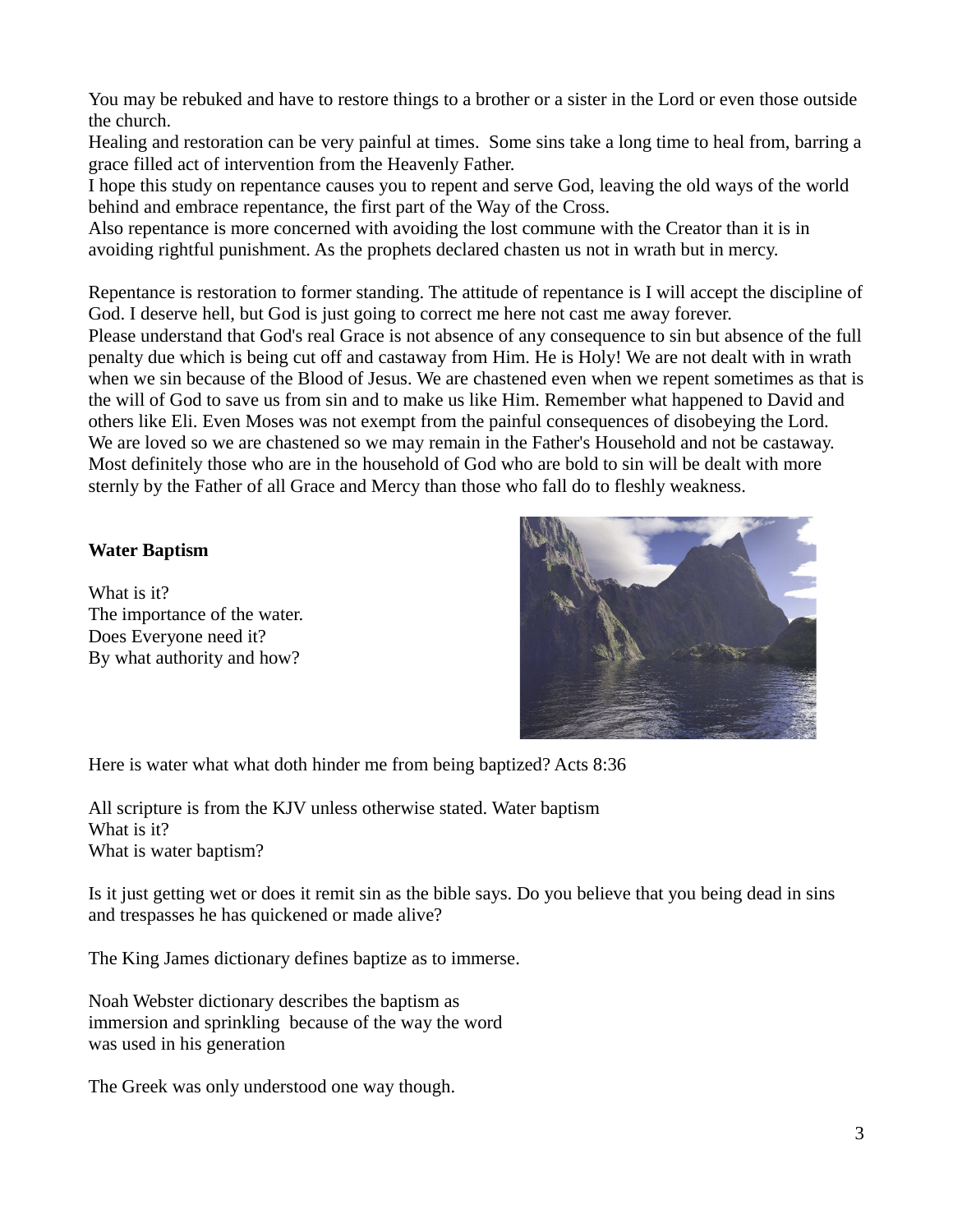You may be rebuked and have to restore things to a brother or a sister in the Lord or even those outside the church.

Healing and restoration can be very painful at times. Some sins take a long time to heal from, barring a grace filled act of intervention from the Heavenly Father.

I hope this study on repentance causes you to repent and serve God, leaving the old ways of the world behind and embrace repentance, the first part of the Way of the Cross.

Also repentance is more concerned with avoiding the lost commune with the Creator than it is in avoiding rightful punishment. As the prophets declared chasten us not in wrath but in mercy.

Repentance is restoration to former standing. The attitude of repentance is I will accept the discipline of God. I deserve hell, but God is just going to correct me here not cast me away forever. Please understand that God's real Grace is not absence of any consequence to sin but absence of the full penalty due which is being cut off and castaway from Him. He is Holy! We are not dealt with in wrath when we sin because of the Blood of Jesus. We are chastened even when we repent sometimes as that is the will of God to save us from sin and to make us like Him. Remember what happened to David and others like Eli. Even Moses was not exempt from the painful consequences of disobeying the Lord. We are loved so we are chastened so we may remain in the Father's Household and not be castaway. Most definitely those who are in the household of God who are bold to sin will be dealt with more sternly by the Father of all Grace and Mercy than those who fall do to fleshly weakness.

## **Water Baptism**

What is it? The importance of the water. Does Everyone need it? By what authority and how?



Here is water what what doth hinder me from being baptized? Acts 8:36

All scripture is from the KJV unless otherwise stated. Water baptism What is it? What is water baptism?

Is it just getting wet or does it remit sin as the bible says. Do you believe that you being dead in sins and trespasses he has quickened or made alive?

The King James dictionary defines baptize as to immerse.

Noah Webster dictionary describes the baptism as immersion and sprinkling because of the way the word was used in his generation

The Greek was only understood one way though.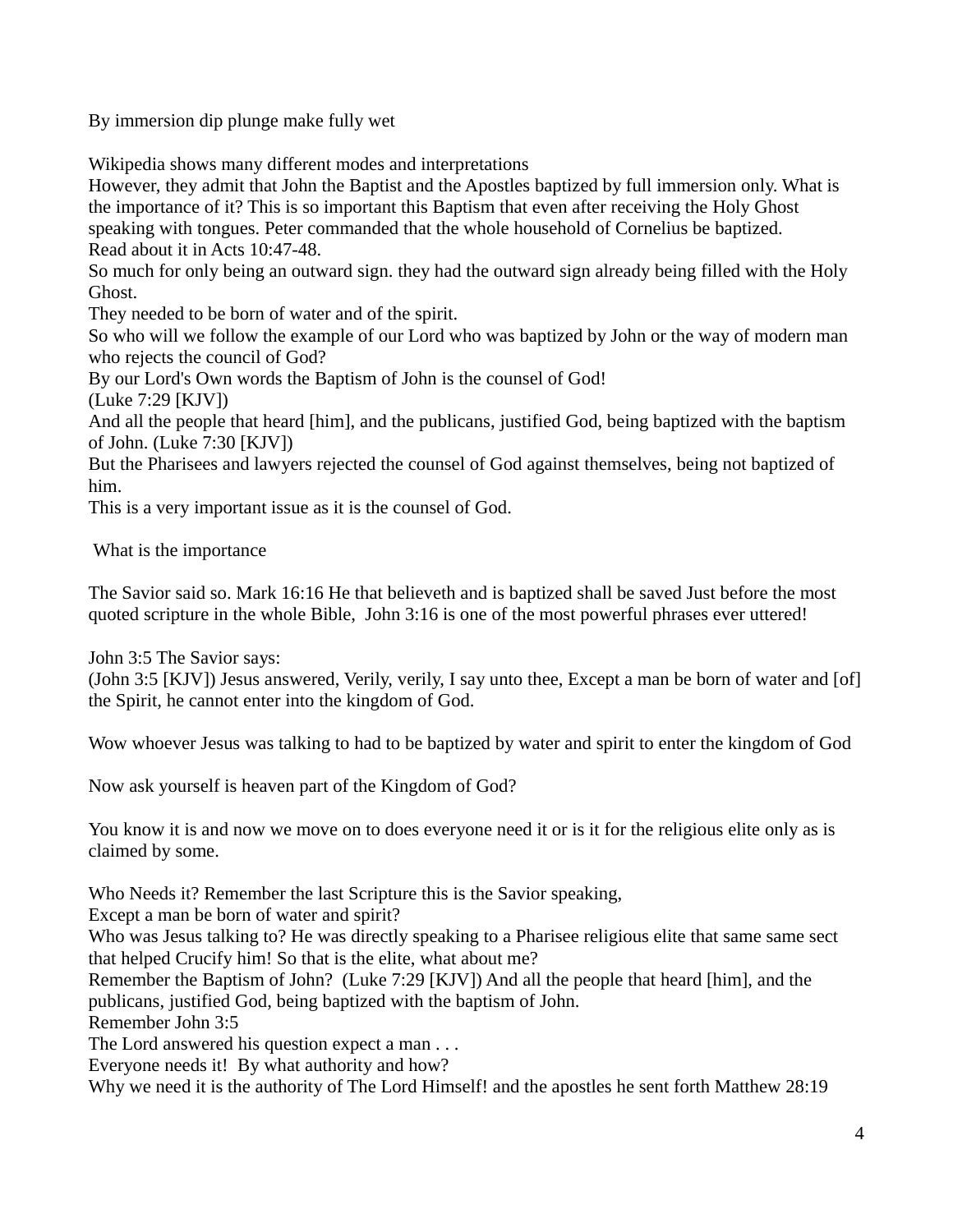By immersion dip plunge make fully wet

Wikipedia shows many different modes and interpretations

However, they admit that John the Baptist and the Apostles baptized by full immersion only. What is the importance of it? This is so important this Baptism that even after receiving the Holy Ghost speaking with tongues. Peter commanded that the whole household of Cornelius be baptized. Read about it in Acts 10:47-48.

So much for only being an outward sign. they had the outward sign already being filled with the Holy Ghost.

They needed to be born of water and of the spirit.

So who will we follow the example of our Lord who was baptized by John or the way of modern man who rejects the council of God?

By our Lord's Own words the Baptism of John is the counsel of God!

(Luke 7:29 [KJV])

And all the people that heard [him], and the publicans, justified God, being baptized with the baptism of John. (Luke 7:30 [KJV])

But the Pharisees and lawyers rejected the counsel of God against themselves, being not baptized of him.

This is a very important issue as it is the counsel of God.

What is the importance

The Savior said so. Mark 16:16 He that believeth and is baptized shall be saved Just before the most quoted scripture in the whole Bible, John 3:16 is one of the most powerful phrases ever uttered!

John 3:5 The Savior says:

(John 3:5 [KJV]) Jesus answered, Verily, verily, I say unto thee, Except a man be born of water and [of] the Spirit, he cannot enter into the kingdom of God.

Wow whoever Jesus was talking to had to be baptized by water and spirit to enter the kingdom of God

Now ask yourself is heaven part of the Kingdom of God?

You know it is and now we move on to does everyone need it or is it for the religious elite only as is claimed by some.

Who Needs it? Remember the last Scripture this is the Savior speaking,

Except a man be born of water and spirit?

Who was Jesus talking to? He was directly speaking to a Pharisee religious elite that same same sect that helped Crucify him! So that is the elite, what about me?

Remember the Baptism of John? (Luke 7:29 [KJV]) And all the people that heard [him], and the publicans, justified God, being baptized with the baptism of John.

Remember John 3:5

The Lord answered his question expect a man . . .

Everyone needs it! By what authority and how?

Why we need it is the authority of The Lord Himself! and the apostles he sent forth Matthew 28:19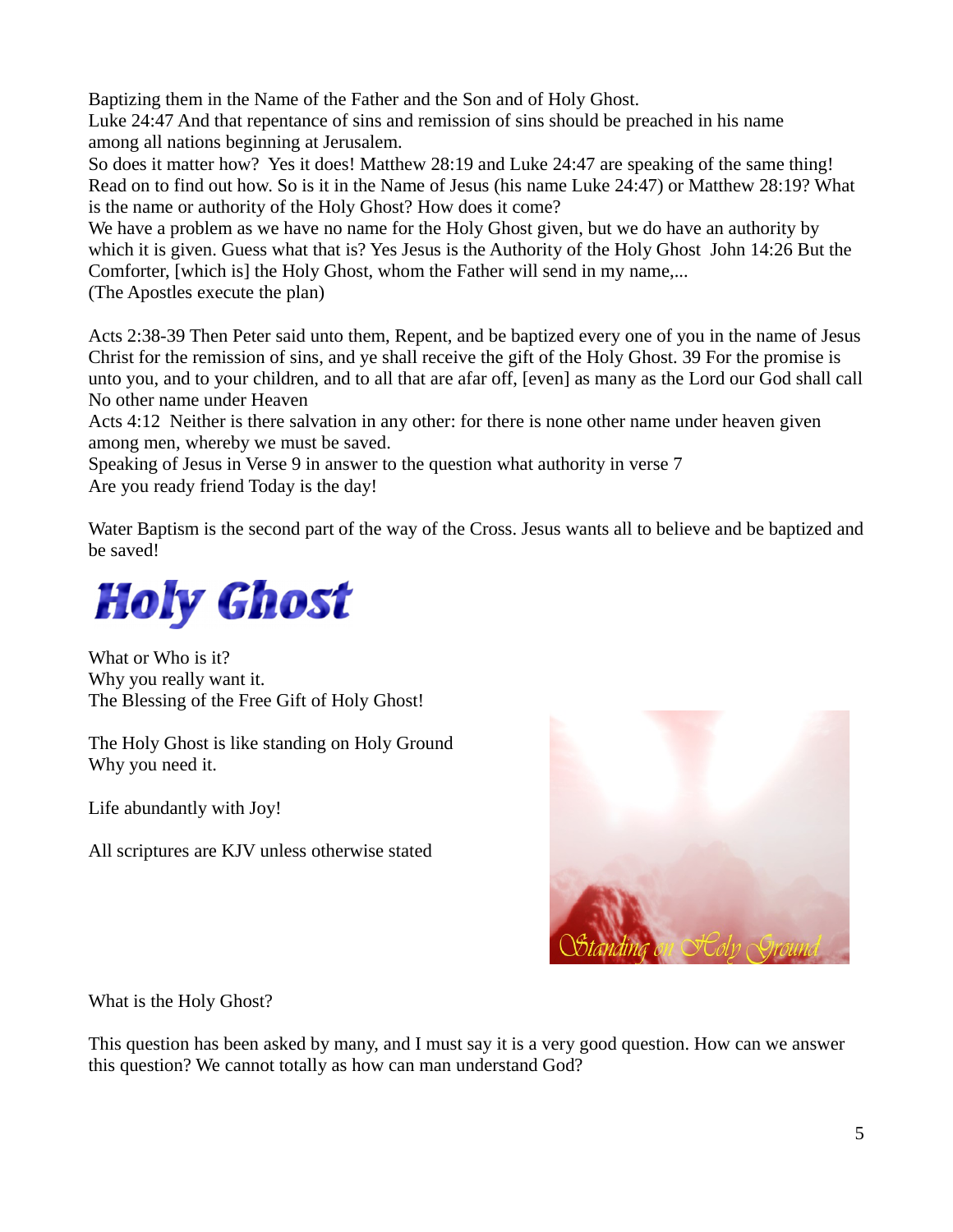Baptizing them in the Name of the Father and the Son and of Holy Ghost.

Luke 24:47 And that repentance of sins and remission of sins should be preached in his name among all nations beginning at Jerusalem.

So does it matter how? Yes it does! Matthew 28:19 and Luke 24:47 are speaking of the same thing! Read on to find out how. So is it in the Name of Jesus (his name Luke 24:47) or Matthew 28:19? What is the name or authority of the Holy Ghost? How does it come?

We have a problem as we have no name for the Holy Ghost given, but we do have an authority by which it is given. Guess what that is? Yes Jesus is the Authority of the Holy Ghost John 14:26 But the Comforter, [which is] the Holy Ghost, whom the Father will send in my name,...

(The Apostles execute the plan)

Acts 2:38-39 Then Peter said unto them, Repent, and be baptized every one of you in the name of Jesus Christ for the remission of sins, and ye shall receive the gift of the Holy Ghost. 39 For the promise is unto you, and to your children, and to all that are afar off, [even] as many as the Lord our God shall call No other name under Heaven

Acts 4:12 Neither is there salvation in any other: for there is none other name under heaven given among men, whereby we must be saved.

Speaking of Jesus in Verse 9 in answer to the question what authority in verse 7 Are you ready friend Today is the day!

Water Baptism is the second part of the way of the Cross. Jesus wants all to believe and be baptized and be saved!



What or Who is it? Why you really want it. The Blessing of the Free Gift of Holy Ghost!

The Holy Ghost is like standing on Holy Ground Why you need it.

Life abundantly with Joy!

All scriptures are KJV unless otherwise stated



What is the Holy Ghost?

This question has been asked by many, and I must say it is a very good question. How can we answer this question? We cannot totally as how can man understand God?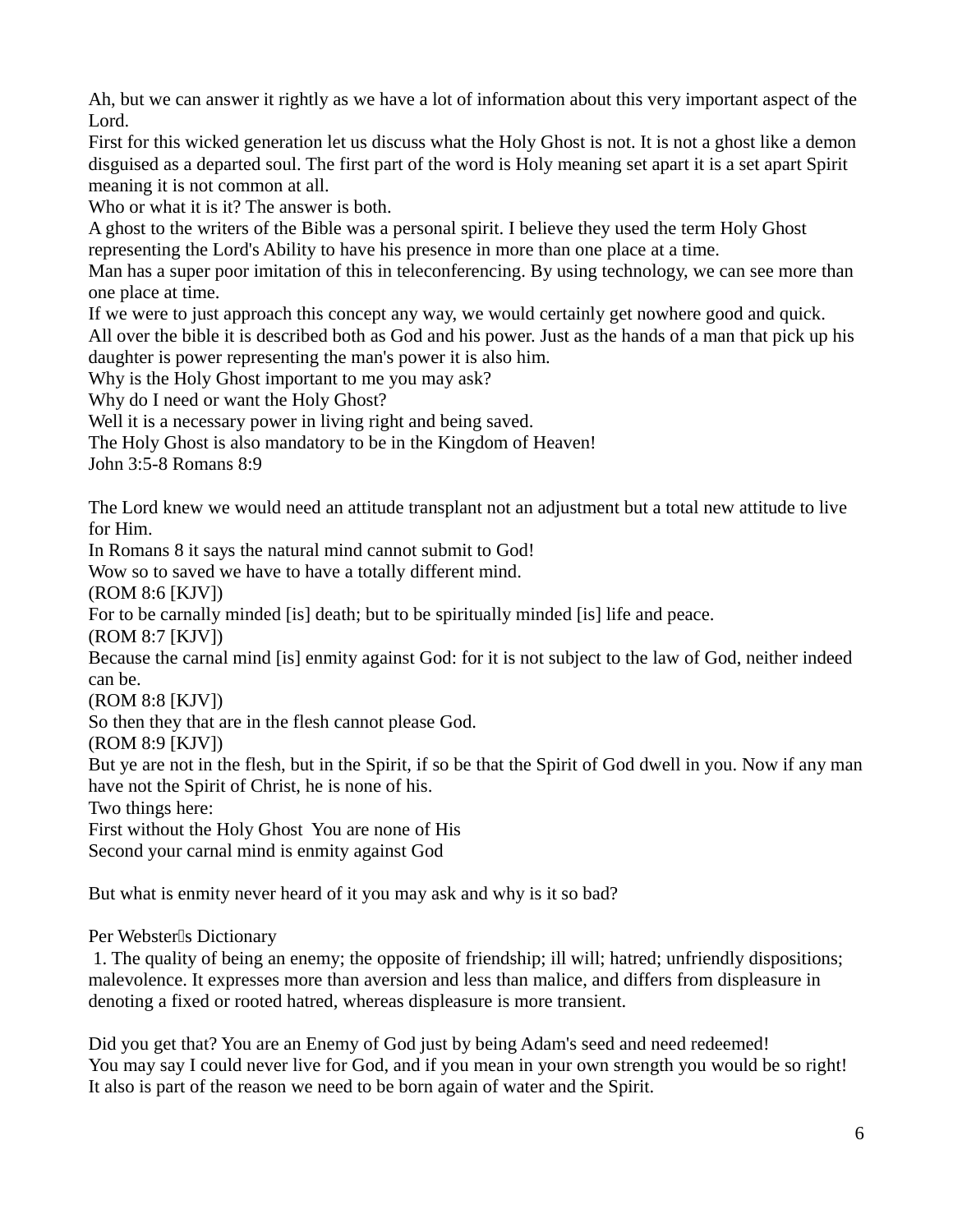Ah, but we can answer it rightly as we have a lot of information about this very important aspect of the Lord.

First for this wicked generation let us discuss what the Holy Ghost is not. It is not a ghost like a demon disguised as a departed soul. The first part of the word is Holy meaning set apart it is a set apart Spirit meaning it is not common at all.

Who or what it is it? The answer is both.

A ghost to the writers of the Bible was a personal spirit. I believe they used the term Holy Ghost representing the Lord's Ability to have his presence in more than one place at a time.

Man has a super poor imitation of this in teleconferencing. By using technology, we can see more than one place at time.

If we were to just approach this concept any way, we would certainly get nowhere good and quick.

All over the bible it is described both as God and his power. Just as the hands of a man that pick up his daughter is power representing the man's power it is also him.

Why is the Holy Ghost important to me you may ask?

Why do I need or want the Holy Ghost?

Well it is a necessary power in living right and being saved.

The Holy Ghost is also mandatory to be in the Kingdom of Heaven!

John 3:5-8 Romans 8:9

The Lord knew we would need an attitude transplant not an adjustment but a total new attitude to live for Him.

In Romans 8 it says the natural mind cannot submit to God!

Wow so to saved we have to have a totally different mind.

(ROM 8:6 [KJV])

For to be carnally minded [is] death; but to be spiritually minded [is] life and peace.

(ROM 8:7 [KJV])

Because the carnal mind [is] enmity against God: for it is not subject to the law of God, neither indeed can be.

(ROM 8:8 [KJV])

So then they that are in the flesh cannot please God.

(ROM 8:9 [KJV])

But ye are not in the flesh, but in the Spirit, if so be that the Spirit of God dwell in you. Now if any man have not the Spirit of Christ, he is none of his.

Two things here:

First without the Holy Ghost You are none of His

Second your carnal mind is enmity against God

But what is enmity never heard of it you may ask and why is it so bad?

Per Webster<sup>[]</sup>s Dictionary

1. The quality of being an enemy; the opposite of friendship; ill will; hatred; unfriendly dispositions; malevolence. It expresses more than aversion and less than malice, and differs from displeasure in denoting a fixed or rooted hatred, whereas displeasure is more transient.

Did you get that? You are an Enemy of God just by being Adam's seed and need redeemed! You may say I could never live for God, and if you mean in your own strength you would be so right! It also is part of the reason we need to be born again of water and the Spirit.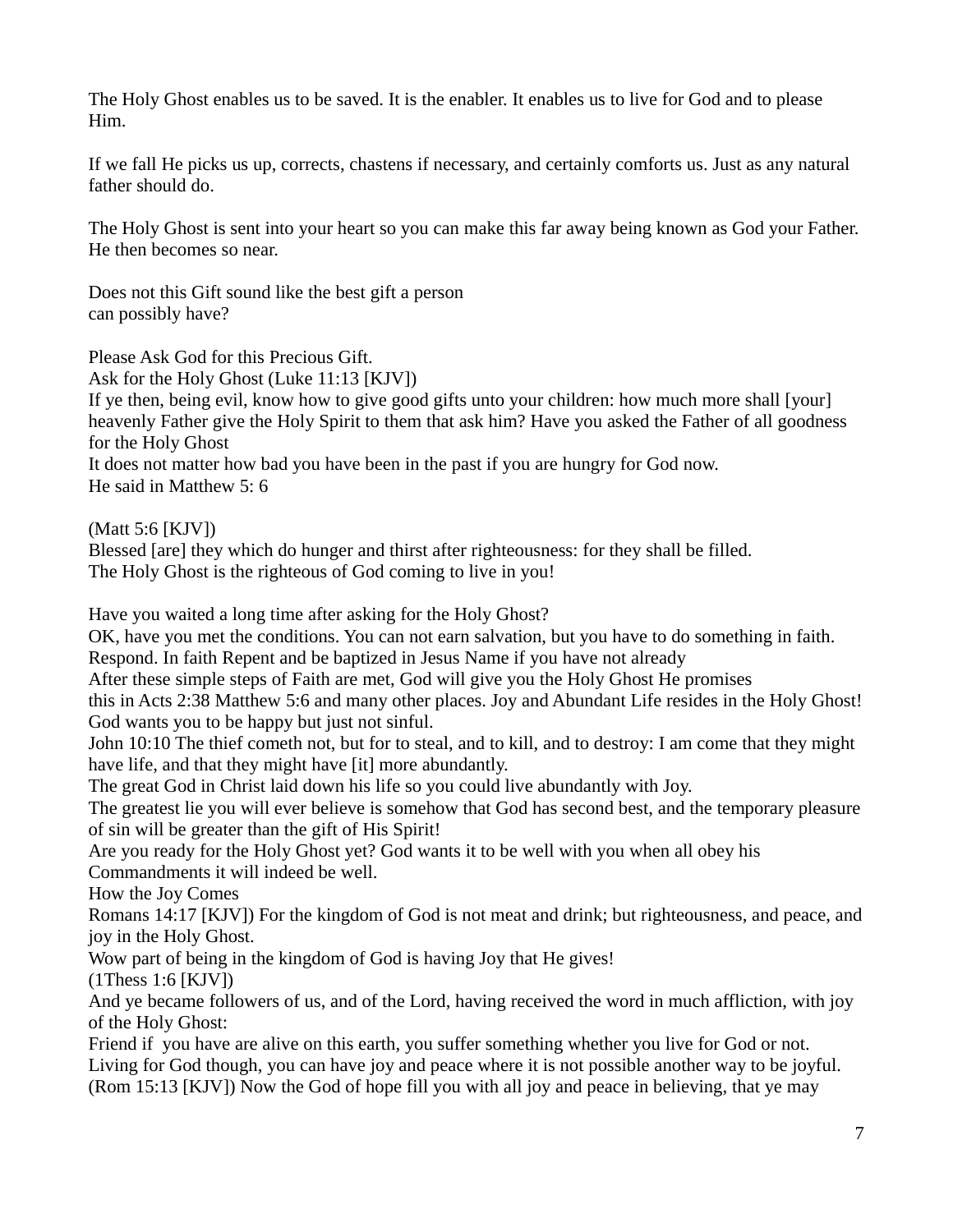The Holy Ghost enables us to be saved. It is the enabler. It enables us to live for God and to please Him.

If we fall He picks us up, corrects, chastens if necessary, and certainly comforts us. Just as any natural father should do.

The Holy Ghost is sent into your heart so you can make this far away being known as God your Father. He then becomes so near.

Does not this Gift sound like the best gift a person can possibly have?

Please Ask God for this Precious Gift.

Ask for the Holy Ghost (Luke 11:13 [KJV])

If ye then, being evil, know how to give good gifts unto your children: how much more shall [your] heavenly Father give the Holy Spirit to them that ask him? Have you asked the Father of all goodness for the Holy Ghost

It does not matter how bad you have been in the past if you are hungry for God now. He said in Matthew 5: 6

(Matt 5:6 [KJV])

Blessed [are] they which do hunger and thirst after righteousness: for they shall be filled. The Holy Ghost is the righteous of God coming to live in you!

Have you waited a long time after asking for the Holy Ghost?

OK, have you met the conditions. You can not earn salvation, but you have to do something in faith.

Respond. In faith Repent and be baptized in Jesus Name if you have not already

After these simple steps of Faith are met, God will give you the Holy Ghost He promises

this in Acts 2:38 Matthew 5:6 and many other places. Joy and Abundant Life resides in the Holy Ghost! God wants you to be happy but just not sinful.

John 10:10 The thief cometh not, but for to steal, and to kill, and to destroy: I am come that they might have life, and that they might have [it] more abundantly.

The great God in Christ laid down his life so you could live abundantly with Joy.

The greatest lie you will ever believe is somehow that God has second best, and the temporary pleasure of sin will be greater than the gift of His Spirit!

Are you ready for the Holy Ghost yet? God wants it to be well with you when all obey his Commandments it will indeed be well.

How the Joy Comes

Romans 14:17 [KJV]) For the kingdom of God is not meat and drink; but righteousness, and peace, and joy in the Holy Ghost.

Wow part of being in the kingdom of God is having Joy that He gives!

(1Thess 1:6 [KJV])

And ye became followers of us, and of the Lord, having received the word in much affliction, with joy of the Holy Ghost:

Friend if you have are alive on this earth, you suffer something whether you live for God or not. Living for God though, you can have joy and peace where it is not possible another way to be joyful. (Rom 15:13 [KJV]) Now the God of hope fill you with all joy and peace in believing, that ye may